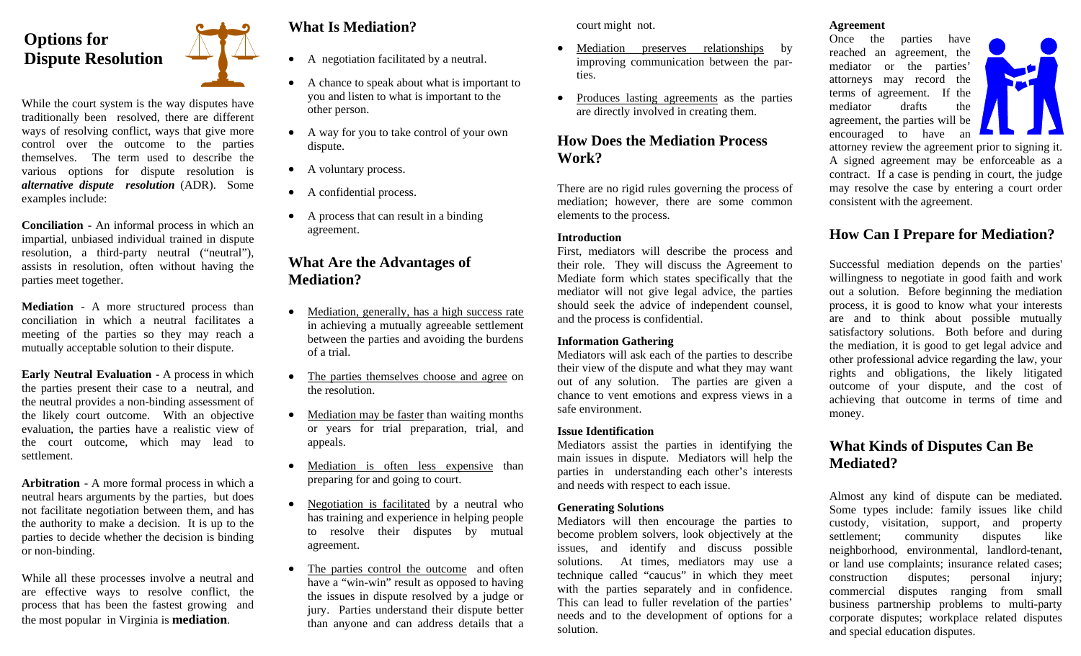## **Options for Dispute Resolution**

While the court system is the way disputes have traditionally been resolved, there are different ways of resolving conflict, ways that give more control over the outcome to the parties themselves. The term used to describe the various options for dispute resolution is *alternative dispute resolution* (ADR). Some examples include:

**Conciliation** - An informal process in which an impartial, unbiased individual trained in dispute resolution, a third-party neutral ("neutral"), assists in resolution, often without having the parties meet together.

**Mediation** - A more structured process than conciliation in which a neutral facilitates a meeting of the parties so they may reach a mutually acceptable solution to their dispute.

**Early Neutral Evaluation** - A process in which the parties present their case to a neutral, and the neutral provides a non-binding assessment of the likely court outcome. With an objective evaluation, the parties have a realistic view of the court outcome, which may lead to settlement.

**Arbitration** - A more formal process in which a neutral hears arguments by the parties, but does not facilitate negotiation between them, and has the authority to make a decision. It is up to the parties to decide whether the decision is binding or non-binding.

While all these processes involve a neutral and are effective ways to resolve conflict, the process that has been the fastest growing and the most popular in Virginia is **mediation**.

#### **What Is Mediation?**

- A negotiation facilitated by a neutral.
- A chance to speak about what is important to you and listen to what is important to the other person.
- A way for you to take control of your own dispute.
- A voluntary process.
- A confidential process.
- A process that can result in a binding agreement.

#### **What Are the Advantages of Mediation?**

- $\bullet$  Mediation, generally, has a high success rate in achieving a mutually agreeable settlement between the parties and avoiding the burdens of a trial.
- The parties themselves choose and agree on the resolution.
- Mediation may be faster than waiting months or years for trial preparation, trial, and appeals.
- $\bullet$  Mediation is often less expensive than preparing for and going to court.
- $\bullet$  Negotiation is facilitated by a neutral who has training and experience in helping people to resolve their disputes by mutual agreement.
- $\bullet$  The parties control the outcome and often have a "win-win" result as opposed to having the issues in dispute resolved by a judge or jury. Parties understand their dispute better than anyone and can address details that a

court might not.

- $\bullet$  Mediation preserves relationships by improving communication between the parties.
- $\bullet$  Produces lasting agreements as the parties are directly involved in creating them.

#### **How Does the Mediation Process Work?**

There are no rigid rules governing the process of mediation; however, there are some common elements to the process.

#### **Introduction**

First, mediators will describe the process and their role. They will discuss the Agreement to Mediate form which states specifically that the mediator will not give legal advice, the parties should seek the advice of independent counsel, and the process is confidential.

#### **Information Gathering**

Mediators will ask each of the parties to describe their view of the dispute and what they may want out of any solution. The parties are given a chance to vent emotions and express views in a safe environment.

#### **Issue Identification**

Mediators assist the parties in identifying the main issues in dispute. Mediators will help the parties in understanding each other's interests and needs with respect to each issue.

#### **Generating Solutions**

Mediators will then encourage the parties to become problem solvers, look objectively at the issues, and identify and discuss possible solutions. At times, mediators may use a technique called "caucus" in which they meet with the parties separately and in confidence. This can lead to fuller revelation of the parties' needs and to the development of options for a solution.

#### **Agreement**

Once the parties have reached an agreement, the mediator or the parties' attorneys may record the terms of agreement. If the mediator drafts the agreement, the parties will be encouraged to have an



attorney review the agreement prior to signing it. A signed agreement may be enforceable as a contract. If a case is pending in court, the judge may resolve the case by entering a court order consistent with the agreement.

#### **How Can I Prepare for Mediation?**

Successful mediation depends on the parties' willingness to negotiate in good faith and work out a solution. Before beginning the mediation process, it is good to know what your interests are and to think about possible mutually satisfactory solutions. Both before and during the mediation, it is good to get legal advice and other professional advice regarding the law, your rights and obligations, the likely litigated outcome of your dispute, and the cost of achieving that outcome in terms of time and money.

#### **What Kinds of Disputes Can Be Mediated?**

Almost any kind of dispute can be mediated. Some types include: family issues like child custody, visitation, support, and property settlement; community disputes like neighborhood, environmental, landlord-tenant, or land use complaints; insurance related cases; construction disputes; personal injury; commercial disputes ranging from small business partnership problems to multi-party corporate disputes; workplace related disputes and special education disputes.